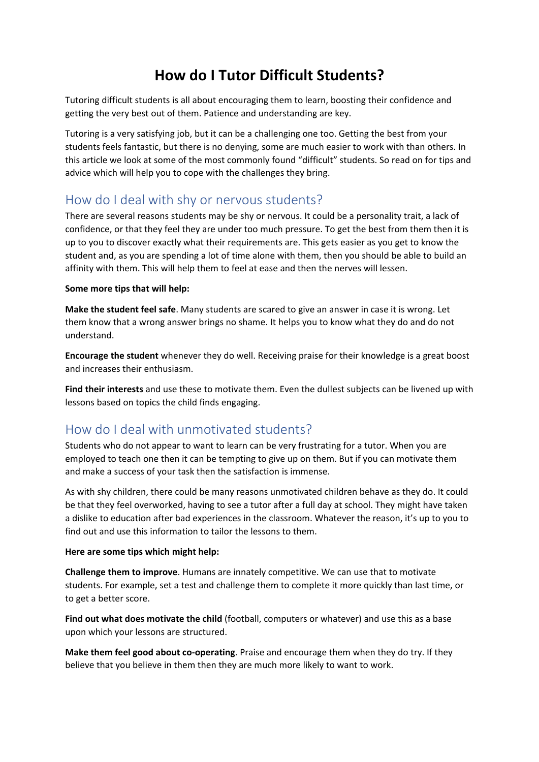# **How do I Tutor Difficult Students?**

Tutoring difficult students is all about encouraging them to learn, boosting their confidence and getting the very best out of them. Patience and understanding are key.

Tutoring is a very satisfying job, but it can be a challenging one too. Getting the best from your students feels fantastic, but there is no denying, some are much easier to work with than others. In this article we look at some of the most commonly found "difficult" students. So read on for tips and advice which will help you to cope with the challenges they bring.

## How do I deal with shy or nervous students?

There are several reasons students may be shy or nervous. It could be a personality trait, a lack of confidence, or that they feel they are under too much pressure. To get the best from them then it is up to you to discover exactly what their requirements are. This gets easier as you get to know the student and, as you are spending a lot of time alone with them, then you should be able to build an affinity with them. This will help them to feel at ease and then the nerves will lessen.

### **Some more tips that will help:**

**Make the student feel safe**. Many students are scared to give an answer in case it is wrong. Let them know that a wrong answer brings no shame. It helps you to know what they do and do not understand.

**Encourage the student** whenever they do well. Receiving praise for their knowledge is a great boost and increases their enthusiasm.

**Find their interests** and use these to motivate them. Even the dullest subjects can be livened up with lessons based on topics the child finds engaging.

## How do I deal with unmotivated students?

Students who do not appear to want to learn can be very frustrating for a tutor. When you are employed to teach one then it can be tempting to give up on them. But if you can motivate them and make a success of your task then the satisfaction is immense.

As with shy children, there could be many reasons unmotivated children behave as they do. It could be that they feel overworked, having to see a tutor after a full day at school. They might have taken a dislike to education after bad experiences in the classroom. Whatever the reason, it's up to you to find out and use this information to tailor the lessons to them.

### **Here are some tips which might help:**

**Challenge them to improve**. Humans are innately competitive. We can use that to motivate students. For example, set a test and challenge them to complete it more quickly than last time, or to get a better score.

**Find out what does motivate the child** (football, computers or whatever) and use this as a base upon which your lessons are structured.

**Make them feel good about co-operating**. Praise and encourage them when they do try. If they believe that you believe in them then they are much more likely to want to work.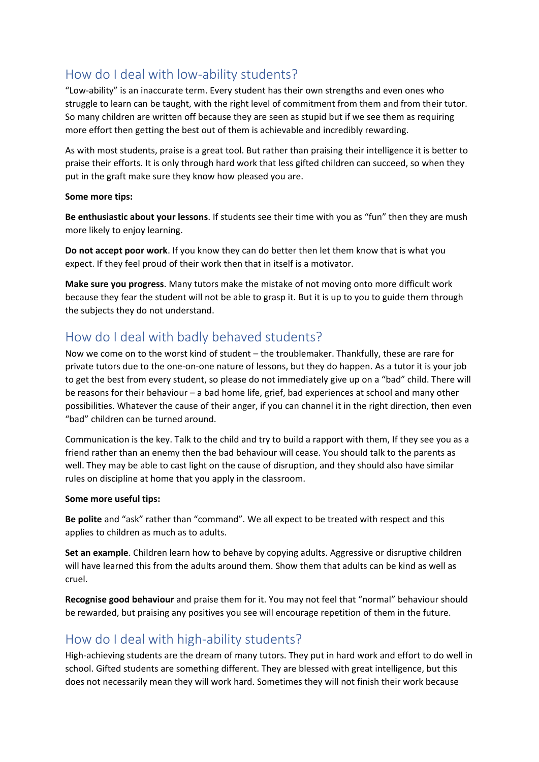## How do I deal with low-ability students?

"Low-ability" is an inaccurate term. Every student has their own strengths and even ones who struggle to learn can be taught, with the right level of commitment from them and from their tutor. So many children are written off because they are seen as stupid but if we see them as requiring more effort then getting the best out of them is achievable and incredibly rewarding.

As with most students, praise is a great tool. But rather than praising their intelligence it is better to praise their efforts. It is only through hard work that less gifted children can succeed, so when they put in the graft make sure they know how pleased you are.

#### **Some more tips:**

**Be enthusiastic about your lessons**. If students see their time with you as "fun" then they are mush more likely to enjoy learning.

**Do not accept poor work**. If you know they can do better then let them know that is what you expect. If they feel proud of their work then that in itself is a motivator.

**Make sure you progress**. Many tutors make the mistake of not moving onto more difficult work because they fear the student will not be able to grasp it. But it is up to you to guide them through the subjects they do not understand.

## How do I deal with badly behaved students?

Now we come on to the worst kind of student – the troublemaker. Thankfully, these are rare for private tutors due to the one-on-one nature of lessons, but they do happen. As a tutor it is your job to get the best from every student, so please do not immediately give up on a "bad" child. There will be reasons for their behaviour – a bad home life, grief, bad experiences at school and many other possibilities. Whatever the cause of their anger, if you can channel it in the right direction, then even "bad" children can be turned around.

Communication is the key. Talk to the child and try to build a rapport with them, If they see you as a friend rather than an enemy then the bad behaviour will cease. You should talk to the parents as well. They may be able to cast light on the cause of disruption, and they should also have similar rules on discipline at home that you apply in the classroom.

### **Some more useful tips:**

**Be polite** and "ask" rather than "command". We all expect to be treated with respect and this applies to children as much as to adults.

**Set an example**. Children learn how to behave by copying adults. Aggressive or disruptive children will have learned this from the adults around them. Show them that adults can be kind as well as cruel.

**Recognise good behaviour** and praise them for it. You may not feel that "normal" behaviour should be rewarded, but praising any positives you see will encourage repetition of them in the future.

## How do I deal with high-ability students?

High-achieving students are the dream of many tutors. They put in hard work and effort to do well in school. Gifted students are something different. They are blessed with great intelligence, but this does not necessarily mean they will work hard. Sometimes they will not finish their work because